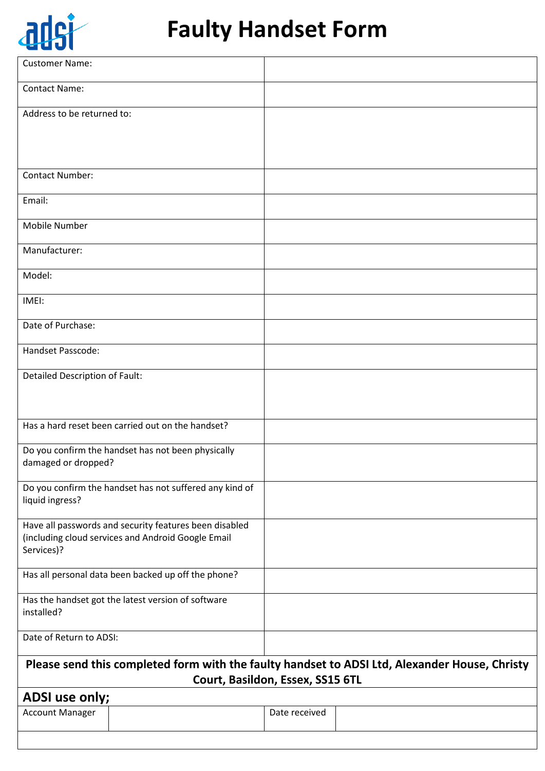

# **Faulty Handset Form**

| <b>Contact Name:</b><br>Address to be returned to:<br><b>Contact Number:</b><br>Email:<br>Mobile Number<br>Manufacturer:<br>Model:<br>IMEI:<br>Date of Purchase:<br>Handset Passcode:<br>Detailed Description of Fault:<br>Has a hard reset been carried out on the handset?<br>Do you confirm the handset has not been physically<br>damaged or dropped?<br>Do you confirm the handset has not suffered any kind of<br>liquid ingress?<br>Have all passwords and security features been disabled<br>(including cloud services and Android Google Email<br>Services)?<br>Has all personal data been backed up off the phone?<br>Has the handset got the latest version of software<br>installed?<br>Date of Return to ADSI:<br>Please send this completed form with the faulty handset to ADSI Ltd, Alexander House, Christy<br>Court, Basildon, Essex, SS15 6TL<br>ADSI use only; | <b>Customer Name:</b>  |               |  |
|------------------------------------------------------------------------------------------------------------------------------------------------------------------------------------------------------------------------------------------------------------------------------------------------------------------------------------------------------------------------------------------------------------------------------------------------------------------------------------------------------------------------------------------------------------------------------------------------------------------------------------------------------------------------------------------------------------------------------------------------------------------------------------------------------------------------------------------------------------------------------------|------------------------|---------------|--|
|                                                                                                                                                                                                                                                                                                                                                                                                                                                                                                                                                                                                                                                                                                                                                                                                                                                                                    |                        |               |  |
|                                                                                                                                                                                                                                                                                                                                                                                                                                                                                                                                                                                                                                                                                                                                                                                                                                                                                    |                        |               |  |
|                                                                                                                                                                                                                                                                                                                                                                                                                                                                                                                                                                                                                                                                                                                                                                                                                                                                                    |                        |               |  |
|                                                                                                                                                                                                                                                                                                                                                                                                                                                                                                                                                                                                                                                                                                                                                                                                                                                                                    |                        |               |  |
|                                                                                                                                                                                                                                                                                                                                                                                                                                                                                                                                                                                                                                                                                                                                                                                                                                                                                    |                        |               |  |
|                                                                                                                                                                                                                                                                                                                                                                                                                                                                                                                                                                                                                                                                                                                                                                                                                                                                                    |                        |               |  |
|                                                                                                                                                                                                                                                                                                                                                                                                                                                                                                                                                                                                                                                                                                                                                                                                                                                                                    |                        |               |  |
|                                                                                                                                                                                                                                                                                                                                                                                                                                                                                                                                                                                                                                                                                                                                                                                                                                                                                    |                        |               |  |
|                                                                                                                                                                                                                                                                                                                                                                                                                                                                                                                                                                                                                                                                                                                                                                                                                                                                                    |                        |               |  |
|                                                                                                                                                                                                                                                                                                                                                                                                                                                                                                                                                                                                                                                                                                                                                                                                                                                                                    |                        |               |  |
|                                                                                                                                                                                                                                                                                                                                                                                                                                                                                                                                                                                                                                                                                                                                                                                                                                                                                    |                        |               |  |
|                                                                                                                                                                                                                                                                                                                                                                                                                                                                                                                                                                                                                                                                                                                                                                                                                                                                                    |                        |               |  |
|                                                                                                                                                                                                                                                                                                                                                                                                                                                                                                                                                                                                                                                                                                                                                                                                                                                                                    |                        |               |  |
|                                                                                                                                                                                                                                                                                                                                                                                                                                                                                                                                                                                                                                                                                                                                                                                                                                                                                    |                        |               |  |
|                                                                                                                                                                                                                                                                                                                                                                                                                                                                                                                                                                                                                                                                                                                                                                                                                                                                                    |                        |               |  |
|                                                                                                                                                                                                                                                                                                                                                                                                                                                                                                                                                                                                                                                                                                                                                                                                                                                                                    |                        |               |  |
|                                                                                                                                                                                                                                                                                                                                                                                                                                                                                                                                                                                                                                                                                                                                                                                                                                                                                    |                        |               |  |
|                                                                                                                                                                                                                                                                                                                                                                                                                                                                                                                                                                                                                                                                                                                                                                                                                                                                                    |                        |               |  |
|                                                                                                                                                                                                                                                                                                                                                                                                                                                                                                                                                                                                                                                                                                                                                                                                                                                                                    |                        |               |  |
|                                                                                                                                                                                                                                                                                                                                                                                                                                                                                                                                                                                                                                                                                                                                                                                                                                                                                    |                        |               |  |
|                                                                                                                                                                                                                                                                                                                                                                                                                                                                                                                                                                                                                                                                                                                                                                                                                                                                                    |                        |               |  |
|                                                                                                                                                                                                                                                                                                                                                                                                                                                                                                                                                                                                                                                                                                                                                                                                                                                                                    |                        |               |  |
|                                                                                                                                                                                                                                                                                                                                                                                                                                                                                                                                                                                                                                                                                                                                                                                                                                                                                    |                        |               |  |
|                                                                                                                                                                                                                                                                                                                                                                                                                                                                                                                                                                                                                                                                                                                                                                                                                                                                                    | <b>Account Manager</b> | Date received |  |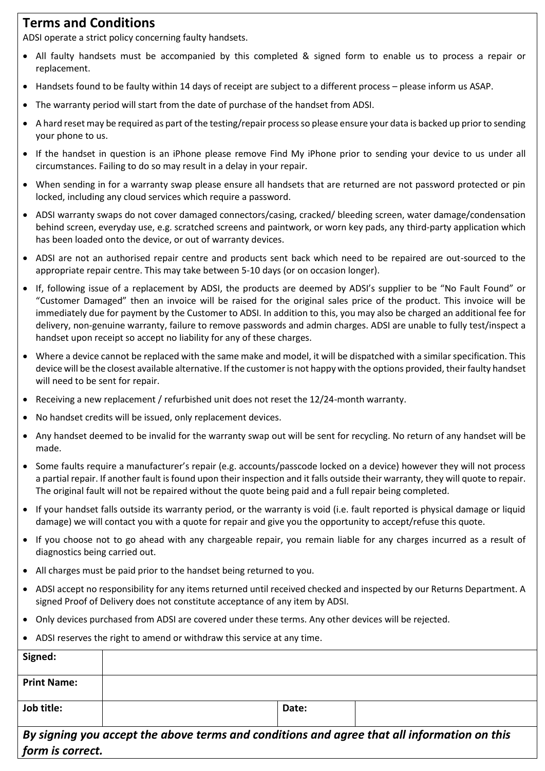## **Terms and Conditions**

ADSI operate a strict policy concerning faulty handsets.

- All faulty handsets must be accompanied by this completed & signed form to enable us to process a repair or replacement.
- Handsets found to be faulty within 14 days of receipt are subject to a different process please inform us ASAP.
- The warranty period will start from the date of purchase of the handset from ADSI.
- A hard reset may be required as part of the testing/repair process so please ensure your data is backed up prior to sending your phone to us.
- If the handset in question is an iPhone please remove Find My iPhone prior to sending your device to us under all circumstances. Failing to do so may result in a delay in your repair.
- When sending in for a warranty swap please ensure all handsets that are returned are not password protected or pin locked, including any cloud services which require a password.
- ADSI warranty swaps do not cover damaged connectors/casing, cracked/ bleeding screen, water damage/condensation behind screen, everyday use, e.g. scratched screens and paintwork, or worn key pads, any third-party application which has been loaded onto the device, or out of warranty devices.
- ADSI are not an authorised repair centre and products sent back which need to be repaired are out-sourced to the appropriate repair centre. This may take between 5-10 days (or on occasion longer).
- If, following issue of a replacement by ADSI, the products are deemed by ADSI's supplier to be "No Fault Found" or "Customer Damaged" then an invoice will be raised for the original sales price of the product. This invoice will be immediately due for payment by the Customer to ADSI. In addition to this, you may also be charged an additional fee for delivery, non-genuine warranty, failure to remove passwords and admin charges. ADSI are unable to fully test/inspect a handset upon receipt so accept no liability for any of these charges.
- Where a device cannot be replaced with the same make and model, it will be dispatched with a similar specification. This device will be the closest available alternative. If the customer is not happy with the options provided, their faulty handset will need to be sent for repair.
- Receiving a new replacement / refurbished unit does not reset the 12/24-month warranty.
- No handset credits will be issued, only replacement devices.
- Any handset deemed to be invalid for the warranty swap out will be sent for recycling. No return of any handset will be made.
- Some faults require a manufacturer's repair (e.g. accounts/passcode locked on a device) however they will not process a partial repair. If another fault is found upon their inspection and it falls outside their warranty, they will quote to repair. The original fault will not be repaired without the quote being paid and a full repair being completed.
- If your handset falls outside its warranty period, or the warranty is void (i.e. fault reported is physical damage or liquid damage) we will contact you with a quote for repair and give you the opportunity to accept/refuse this quote.
- If you choose not to go ahead with any chargeable repair, you remain liable for any charges incurred as a result of diagnostics being carried out.
- All charges must be paid prior to the handset being returned to you.
- ADSI accept no responsibility for any items returned until received checked and inspected by our Returns Department. A signed Proof of Delivery does not constitute acceptance of any item by ADSI.
- Only devices purchased from ADSI are covered under these terms. Any other devices will be rejected.
- ADSI reserves the right to amend or withdraw this service at any time.

| Signed:            |                                                                                             |  |
|--------------------|---------------------------------------------------------------------------------------------|--|
| <b>Print Name:</b> |                                                                                             |  |
| Job title:         | Date:                                                                                       |  |
| form is correct.   | By signing you accept the above terms and conditions and agree that all information on this |  |